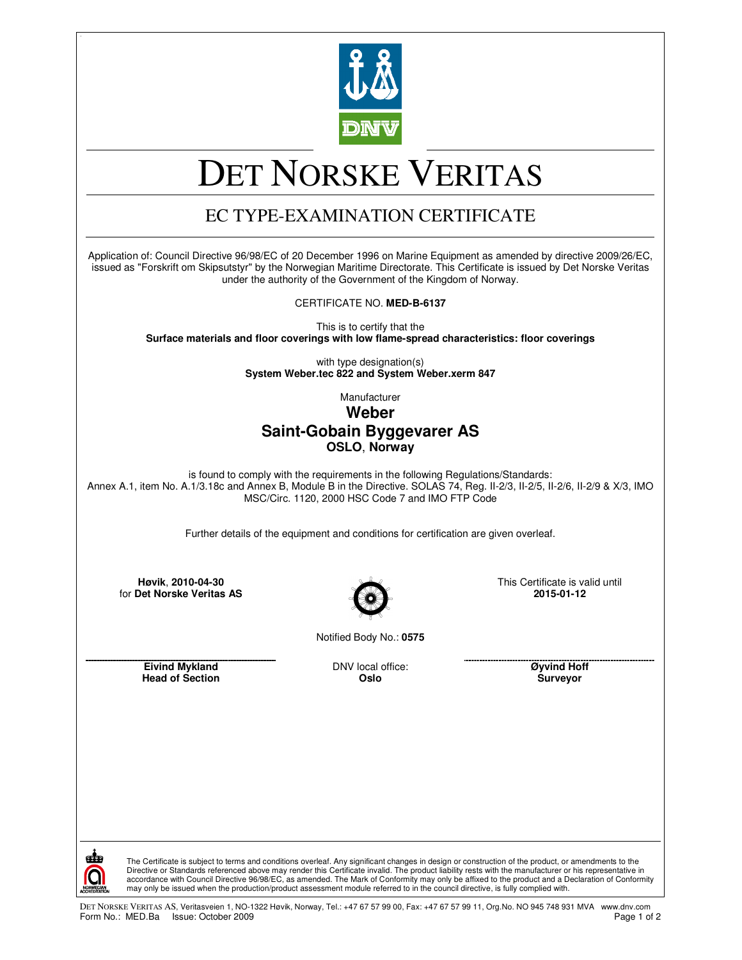

# DET NORSKE VERITAS

## EC TYPE-EXAMINATION CERTIFICATE

Application of: Council Directive 96/98/EC of 20 December 1996 on Marine Equipment as amended by directive 2009/26/EC, issued as "Forskrift om Skipsutstyr" by the Norwegian Maritime Directorate. This Certificate is issued by Det Norske Veritas under the authority of the Government of the Kingdom of Norway.

CERTIFICATE NO. **MED-B-6137**

This is to certify that the **Surface materials and floor coverings with low flame-spread characteristics: floor coverings**

> with type designation(s) **System Weber.tec 822 and System Weber.xerm 847**

### Manufacturer **Weber Saint-Gobain Byggevarer AS OSLO**, **Norway**

is found to comply with the requirements in the following Regulations/Standards: Annex A.1, item No. A.1/3.18c and Annex B, Module B in the Directive. SOLAS 74, Reg. II-2/3, II-2/5, II-2/6, II-2/9 & X/3, IMO MSC/Circ. 1120, 2000 HSC Code 7 and IMO FTP Code

Further details of the equipment and conditions for certification are given overleaf.

**Høvik**, **2010-04-30** for **Det Norske Veritas AS**



This Certificate is valid until **2015-01-12**

Notified Body No.: **0575**

**Eivind Mykland Head of Section** DNV local office: **Oslo**

**Øyvind Hoff Surveyor**



The Certificate is subject to terms and conditions overleaf. Any significant changes in design or construction of the product, or amendments to the Directive or Standards referenced above may render this Certificate invalid. The product liability rests with the manufacturer or his representative in accordance with Council Directive 96/98/EC, as amended. The Mark of Conformity may only be affixed to the product and a Declaration of Conformity may only be issued when the production/product assessment module referred to in the council directive, is fully complied with.